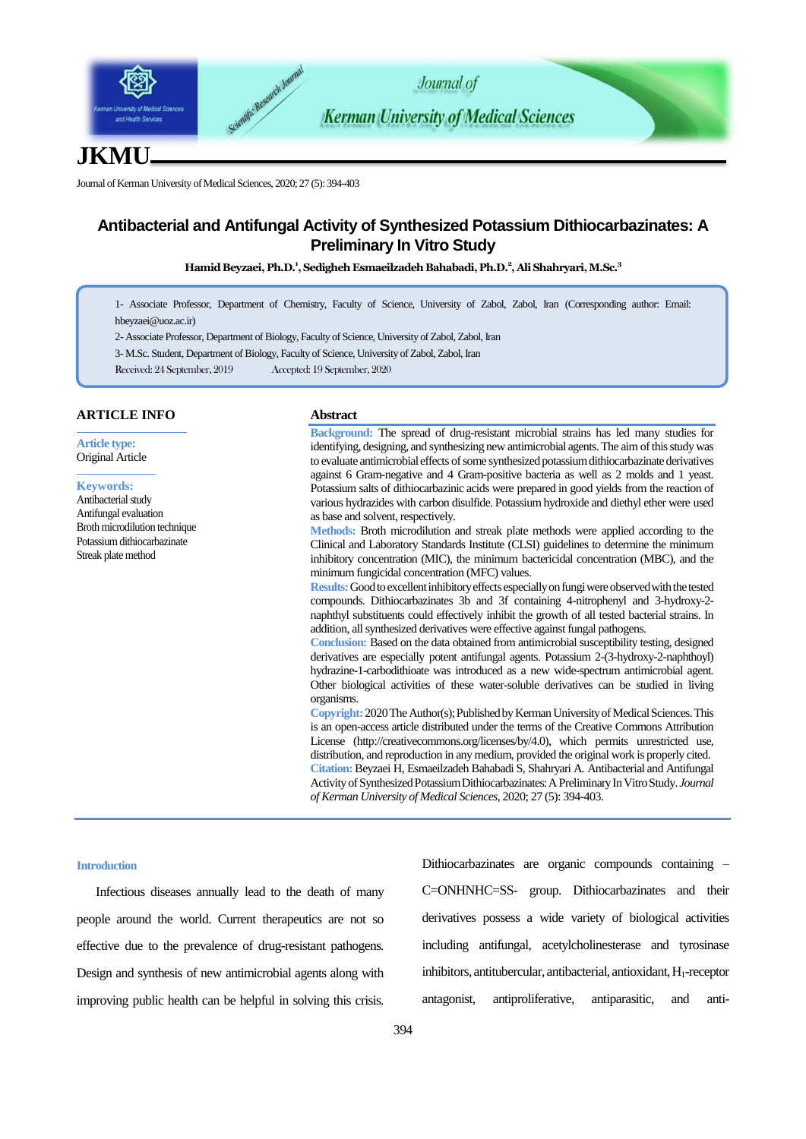

# **JKMU**

Journal of Kerman University of Medical Sciences, 2020; 27 (5): 394-403

## **Antibacterial and Antifungal Activity of Synthesized Potassium Dithiocarbazinates: A Preliminary In Vitro Study**

**Hamid Beyzaei, Ph.D.<sup>1</sup> , Sedigheh Esmaeilzadeh Bahabadi, Ph.D.<sup>2</sup> , Ali Shahryari, M.Sc.<sup>3</sup>**

1- Associate Professor, Department of Chemistry, Faculty of Science, University of Zabol, Zabol, Iran (Corresponding author: Email: hbeyzaei@uoz.ac.ir)

2- Associate Professor, Department of Biology, Faculty of Science, University of Zabol, Zabol, Iran

3- M.Sc. Student, Department of Biology, Faculty of Science, University of Zabol, Zabol, Iran

Received: 24 September, 2019 Accepted: 19 September, 2020

## **ARTICLE INFO**

**Article type:** Original Article

#### **Keywords:**

Antibacterial study Antifungal evaluation Broth microdilution technique Potassium dithiocarbazinate Streak plate method

#### **Abstract**

**Background:** The spread of drug-resistant microbial strains has led many studies for identifying, designing, and synthesizing new antimicrobial agents. The aim of this study was to evaluate antimicrobial effects of some synthesized potassium dithiocarbazinate derivatives against 6 Gram-negative and 4 Gram-positive bacteria as well as 2 molds and 1 yeast. Potassium salts of dithiocarbazinic acids were prepared in good yields from the reaction of various hydrazides with carbon disulfide. Potassium hydroxide and diethyl ether were used as base and solvent, respectively.

**Methods:** Broth microdilution and streak plate methods were applied according to the Clinical and Laboratory Standards Institute (CLSI) guidelines to determine the minimum inhibitory concentration (MIC), the minimum bactericidal concentration (MBC), and the minimum fungicidal concentration (MFC) values.

**Results:**Good to excellent inhibitory effects especially on fungi were observed with the tested compounds. Dithiocarbazinates 3b and 3f containing 4-nitrophenyl and 3-hydroxy-2 naphthyl substituents could effectively inhibit the growth of all tested bacterial strains. In addition, all synthesized derivatives were effective against fungal pathogens.

**Conclusion:** Based on the data obtained from antimicrobial susceptibility testing, designed derivatives are especially potent antifungal agents. Potassium 2-(3-hydroxy-2-naphthoyl) hydrazine-1-carbodithioate was introduced as a new wide-spectrum antimicrobial agent. Other biological activities of these water-soluble derivatives can be studied in living organisms.

**Copyright:** 2020The Author(s); Published by Kerman University of Medical Sciences. This is an open-access article distributed under the terms of the Creative Commons Attribution License (http://creativecommons.org/licenses/by/4.0), which permits unrestricted use, distribution, and reproduction in any medium, provided the original work is properly cited. **Citation:**Beyzaei H, Esmaeilzadeh Bahabadi S, Shahryari A. Antibacterial and Antifungal Activity of Synthesized Potassium Dithiocarbazinates: A Preliminary In Vitro Study. *Journal of Kerman University of Medical Sciences*, 2020; 27 (5): 394-403.

### **Introduction**

Infectious diseases annually lead to the death of many people around the world. Current therapeutics are not so effective due to the prevalence of drug-resistant pathogens. Design and synthesis of new antimicrobial agents along with improving public health can be helpful in solving this crisis. Dithiocarbazinates are organic compounds containing – C=ONHNHC=SS- group. Dithiocarbazinates and their derivatives possess a wide variety of biological activities including antifungal, acetylcholinesterase and tyrosinase inhibitors, antitubercular, antibacterial, antioxidant, H<sub>1</sub>-receptor antagonist, antiproliferative, antiparasitic, and anti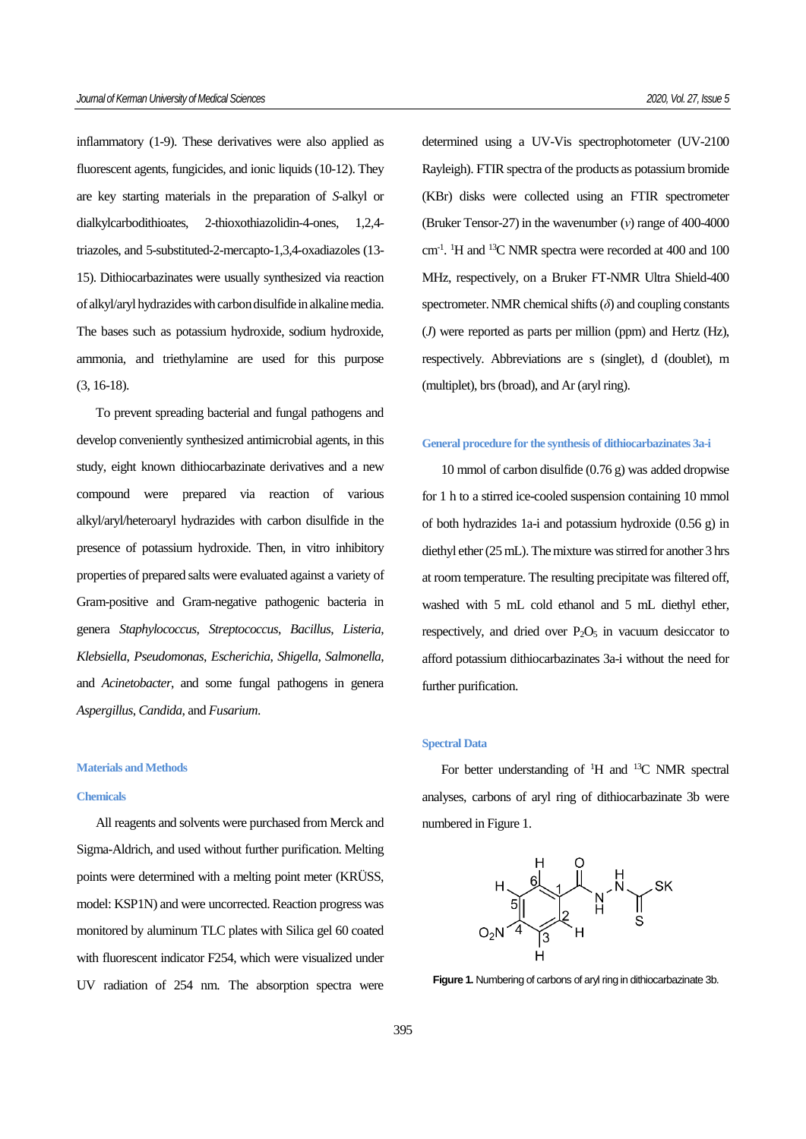inflammatory (1-9). These derivatives were also applied as fluorescent agents, fungicides, and ionic liquids (10-12). They are key starting materials in the preparation of *S*-alkyl or dialkylcarbodithioates, 2-thioxothiazolidin-4-ones, 1,2,4 triazoles, and 5-substituted-2-mercapto-1,3,4-oxadiazoles (13- 15). Dithiocarbazinates were usually synthesized via reaction of alkyl/aryl hydrazides with carbon disulfide in alkaline media. The bases such as potassium hydroxide, sodium hydroxide, ammonia, and triethylamine are used for this purpose (3, 16-18).

To prevent spreading bacterial and fungal pathogens and develop conveniently synthesized antimicrobial agents, in this study, eight known dithiocarbazinate derivatives and a new compound were prepared via reaction of various alkyl/aryl/heteroaryl hydrazides with carbon disulfide in the presence of potassium hydroxide. Then, in vitro inhibitory properties of prepared salts were evaluated against a variety of Gram-positive and Gram-negative pathogenic bacteria in genera *Staphylococcus*, *Streptococcus*, *Bacillus*, *Listeria*, *Klebsiella*, *Pseudomonas*, *Escherichia*, *Shigella*, *Salmonella*, and *Acinetobacter*, and some fungal pathogens in genera *Aspergillus*, *Candida*, and *Fusarium*.

#### **Materials and Methods**

#### **Chemicals**

All reagents and solvents were purchased from Merck and Sigma-Aldrich, and used without further purification. Melting points were determined with a melting point meter (KRÜSS, model: KSP1N) and were uncorrected. Reaction progress was monitored by aluminum TLC plates with Silica gel 60 coated with fluorescent indicator F254, which were visualized under UV radiation of 254 nm. The absorption spectra were

determined using a UV-Vis spectrophotometer (UV-2100 Rayleigh). FTIR spectra of the products as potassium bromide (KBr) disks were collected using an FTIR spectrometer (Bruker Tensor-27) in the wavenumber (*ν*) range of 400-4000 cm<sup>-1</sup>. <sup>1</sup>H and <sup>13</sup>C NMR spectra were recorded at 400 and 100 MHz, respectively, on a Bruker FT-NMR Ultra Shield-400 spectrometer. NMR chemical shifts (*δ*) and coupling constants (*J*) were reported as parts per million (ppm) and Hertz (Hz), respectively. Abbreviations are s (singlet), d (doublet), m (multiplet), brs (broad), and Ar (aryl ring).

## **General procedure for the synthesis of dithiocarbazinates 3a-i**

10 mmol of carbon disulfide (0.76 g) was added dropwise for 1 h to a stirred ice-cooled suspension containing 10 mmol of both hydrazides 1a-i and potassium hydroxide (0.56 g) in diethyl ether (25 mL). The mixture was stirred for another 3 hrs at room temperature. The resulting precipitate was filtered off, washed with 5 mL cold ethanol and 5 mL diethyl ether, respectively, and dried over  $P_2O_5$  in vacuum desiccator to afford potassium dithiocarbazinates 3a-i without the need for further purification.

#### **Spectral Data**

For better understanding of <sup>1</sup>H and <sup>13</sup>C NMR spectral analyses, carbons of aryl ring of dithiocarbazinate 3b were numbered in Figure 1.



**Figure 1.** Numbering of carbons of aryl ring in dithiocarbazinate 3b.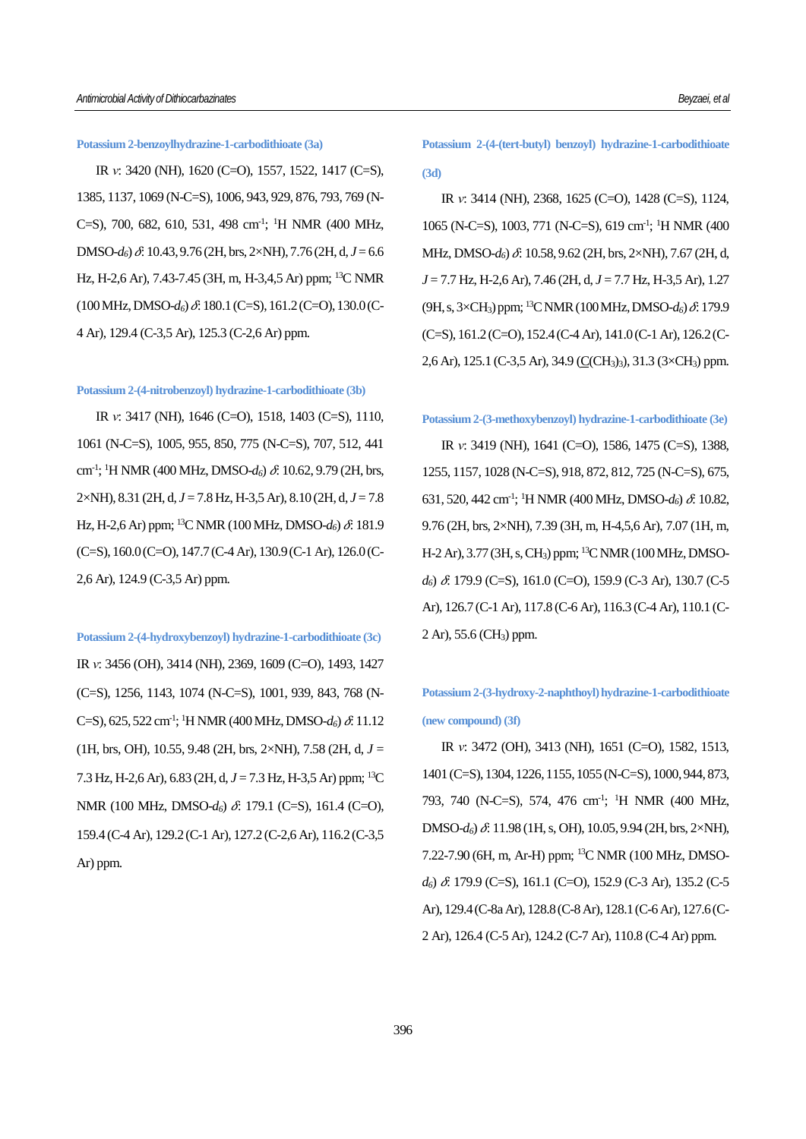## **Potassium 2-benzoylhydrazine-1-carbodithioate (3a)**

IR *ν*: 3420 (NH), 1620 (C=O), 1557, 1522, 1417 (C=S), 1385, 1137, 1069 (N-C=S), 1006, 943, 929, 876, 793, 769 (N-C=S), 700, 682, 610, 531, 498 cm<sup>-1</sup>; <sup>1</sup>H NMR (400 MHz,  $DMSO-d<sub>6</sub>$ )  $\delta$ *f*: 10.43, 9.76 (2H, brs, 2×NH), 7.76 (2H, d,  $J=6.6$ ) Hz, H-2,6 Ar), 7.43-7.45 (3H, m, H-3,4,5 Ar) ppm; <sup>13</sup>C NMR  $(100 \text{ MHz}, \text{DMSO-}d_6) \& 180.1 \text{ (C=S)}, 161.2 \text{ (C=O)}, 130.0 \text{ (C-}$ 4 Ar), 129.4 (C-3,5 Ar), 125.3 (C-2,6 Ar) ppm.

#### **Potassium 2-(4-nitrobenzoyl) hydrazine-1-carbodithioate (3b)**

IR *ν*: 3417 (NH), 1646 (C=O), 1518, 1403 (C=S), 1110, 1061 (N-C=S), 1005, 955, 850, 775 (N-C=S), 707, 512, 441 cm<sup>-1</sup>; <sup>1</sup>H NMR (400 MHz, DMSO-*d*<sub>6</sub>)  $\delta$ : 10.62, 9.79 (2H, brs, 2×NH), 8.31 (2H, d, *J* = 7.8 Hz, H-3,5 Ar), 8.10 (2H, d, *J* = 7.8 Hz, H-2,6 Ar) ppm; <sup>13</sup>C NMR (100 MHz, DMSO- $d_6$ )  $\delta$ : 181.9 (C=S), 160.0 (C=O), 147.7 (C-4 Ar), 130.9 (C-1 Ar), 126.0 (C-2,6 Ar), 124.9 (C-3,5 Ar) ppm.

**Potassium 2-(4-hydroxybenzoyl) hydrazine-1-carbodithioate (3c)** IR *ν*: 3456 (OH), 3414 (NH), 2369, 1609 (C=O), 1493, 1427 (C=S), 1256, 1143, 1074 (N-C=S), 1001, 939, 843, 768 (N-C=S), 625, 522 cm<sup>-1</sup>; <sup>1</sup>H NMR (400 MHz, DMSO-d<sub>6</sub>)  $\delta$ : 11.12 (1H, brs, OH), 10.55, 9.48 (2H, brs,  $2\times$ NH), 7.58 (2H, d,  $J =$ 7.3 Hz, H-2,6 Ar), 6.83 (2H, d, *J* = 7.3 Hz, H-3,5 Ar) ppm; <sup>13</sup>C NMR (100 MHz, DMSO-d<sub>6</sub>)  $\delta$ : 179.1 (C=S), 161.4 (C=O), 159.4 (C-4 Ar), 129.2 (C-1 Ar), 127.2 (C-2,6 Ar), 116.2 (C-3,5 Ar) ppm.

**Potassium 2-(4-(tert-butyl) benzoyl) hydrazine-1-carbodithioate (3d)**

IR *ν*: 3414 (NH), 2368, 1625 (C=O), 1428 (C=S), 1124, 1065 (N-C=S), 1003, 771 (N-C=S), 619 cm-1 ; <sup>1</sup>H NMR (400 MHz, DMSO- $d_6$ )  $\delta$ : 10.58, 9.62 (2H, brs, 2×NH), 7.67 (2H, d, *J* = 7.7 Hz, H-2,6 Ar), 7.46 (2H, d, *J* = 7.7 Hz, H-3,5 Ar), 1.27 (9H, s, 3×CH<sub>3</sub>) ppm; <sup>13</sup>C NMR (100 MHz, DMSO- $d_6$ )  $\delta$ : 179.9  $(C=S)$ , 161.2  $(C=O)$ , 152.4  $(C=4$  Ar), 141.0  $(C=1$  Ar), 126.2  $(C=1)$ 2,6 Ar), 125.1 (C-3,5 Ar), 34.9 (C(CH3)3), 31.3 (3×CH3) ppm.

## **Potassium 2-(3-methoxybenzoyl) hydrazine-1-carbodithioate (3e)**

IR *ν*: 3419 (NH), 1641 (C=O), 1586, 1475 (C=S), 1388, 1255, 1157, 1028 (N-C=S), 918, 872, 812, 725 (N-C=S), 675, 631, 520, 442 cm<sup>-1</sup>; <sup>1</sup>H NMR (400 MHz, DMSO- $d_6$ )  $\delta$ : 10.82, 9.76 (2H, brs, 2×NH), 7.39 (3H, m, H-4,5,6 Ar), 7.07 (1H, m, H-2 Ar), 3.77 (3H, s, CH3) ppm; <sup>13</sup>C NMR (100 MHz, DMSO*d*<sup>6</sup>)  $\delta$ : 179.9 (C=S), 161.0 (C=O), 159.9 (C-3 Ar), 130.7 (C-5 Ar), 126.7 (C-1 Ar), 117.8 (C-6 Ar), 116.3 (C-4 Ar), 110.1 (C-2 Ar), 55.6 (CH3) ppm.

## **Potassium 2-(3-hydroxy-2-naphthoyl)hydrazine-1-carbodithioate (new compound) (3f)**

IR *ν*: 3472 (OH), 3413 (NH), 1651 (C=O), 1582, 1513, 1401 (C=S), 1304, 1226, 1155, 1055 (N-C=S), 1000, 944, 873, 793, 740 (N-C=S), 574, 476 cm-1 ; <sup>1</sup>H NMR (400 MHz,  $DMSO-d<sub>6</sub>$ )  $\&$  11.98 (1H, s, OH), 10.05, 9.94 (2H, brs, 2×NH), 7.22-7.90 (6H, m, Ar-H) ppm; 13C NMR (100 MHz, DMSO*d*<sup>6</sup>)  $\delta$ : 179.9 (C=S), 161.1 (C=O), 152.9 (C-3 Ar), 135.2 (C-5 Ar), 129.4 (C-8a Ar), 128.8 (C-8 Ar), 128.1 (C-6 Ar), 127.6 (C-2 Ar), 126.4 (C-5 Ar), 124.2 (C-7 Ar), 110.8 (C-4 Ar) ppm.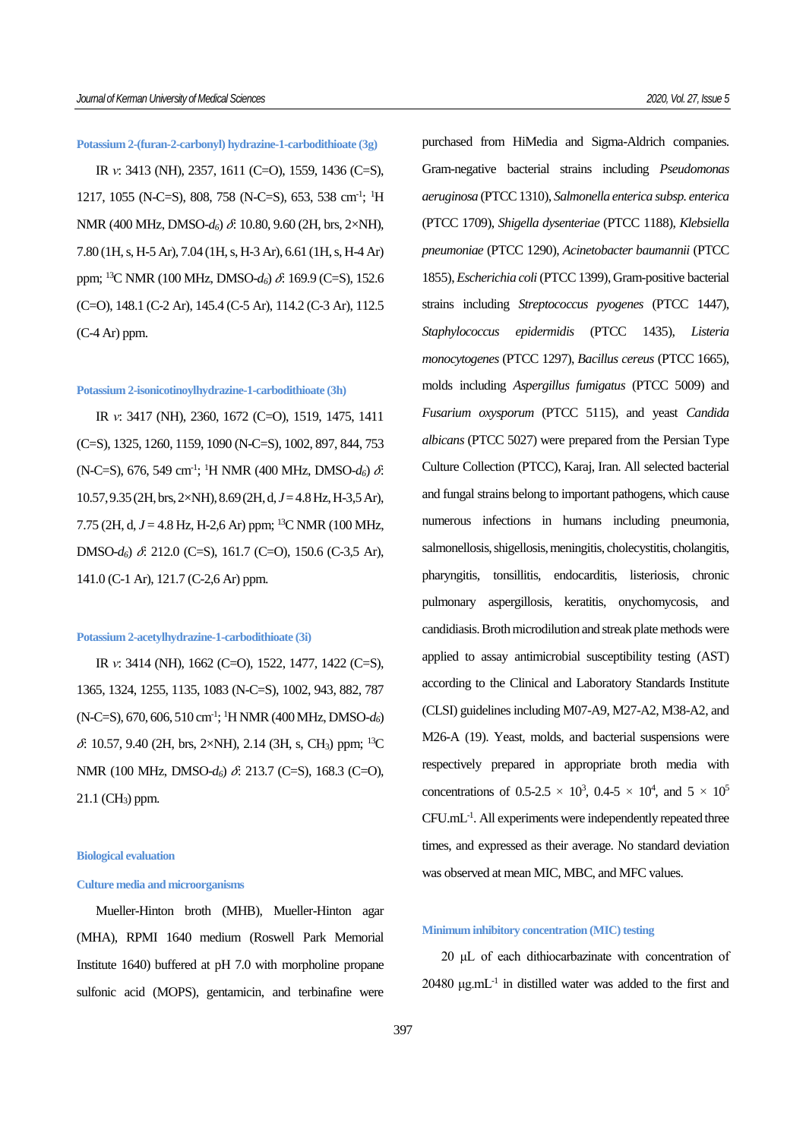#### **Potassium 2-(furan-2-carbonyl) hydrazine-1-carbodithioate (3g)**

IR *ν*: 3413 (NH), 2357, 1611 (C=O), 1559, 1436 (C=S), 1217, 1055 (N-C=S), 808, 758 (N-C=S), 653, 538 cm<sup>-1</sup>; <sup>1</sup>H NMR (400 MHz, DMSO- $d_6$ )  $\delta$ : 10.80, 9.60 (2H, brs, 2×NH), 7.80 (1H, s, H-5 Ar), 7.04 (1H, s, H-3 Ar), 6.61 (1H, s, H-4 Ar) ppm; <sup>13</sup>C NMR (100 MHz, DMSO- $d_6$ )  $\delta$ : 169.9 (C=S), 152.6 (C=O), 148.1 (C-2 Ar), 145.4 (C-5 Ar), 114.2 (C-3 Ar), 112.5 (C-4 Ar) ppm.

#### **Potassium 2-isonicotinoylhydrazine-1-carbodithioate (3h)**

IR *ν*: 3417 (NH), 2360, 1672 (C=O), 1519, 1475, 1411 (C=S), 1325, 1260, 1159, 1090 (N-C=S), 1002, 897, 844, 753 (N-C=S), 676, 549 cm<sup>-1</sup>; <sup>1</sup>H NMR (400 MHz, DMSO- $d_6$ )  $\delta$ . 10.57, 9.35 (2H, brs, 2×NH), 8.69 (2H, d, *J*= 4.8 Hz, H-3,5 Ar), 7.75 (2H, d, *J* = 4.8 Hz, H-2,6 Ar) ppm; <sup>13</sup>C NMR (100 MHz, DMSO- $d_6$ )  $\delta$ : 212.0 (C=S), 161.7 (C=O), 150.6 (C-3,5 Ar), 141.0 (C-1 Ar), 121.7 (C-2,6 Ar) ppm.

## **Potassium 2-acetylhydrazine-1-carbodithioate (3i)**

IR *ν*: 3414 (NH), 1662 (C=O), 1522, 1477, 1422 (C=S), 1365, 1324, 1255, 1135, 1083 (N-C=S), 1002, 943, 882, 787 (N-C=S), 670, 606, 510 cm-1 ; <sup>1</sup>H NMR (400 MHz, DMSO-*d6*)  $\delta$ : 10.57, 9.40 (2H, brs, 2×NH), 2.14 (3H, s, CH<sub>3</sub>) ppm; <sup>13</sup>C NMR (100 MHz, DMSO- $d_6$ )  $\delta$ : 213.7 (C=S), 168.3 (C=O),  $21.1$  (CH<sub>3</sub>) ppm.

#### **Biological evaluation**

## **Culture media and microorganisms**

Mueller-Hinton broth (MHB), Mueller-Hinton agar (MHA), RPMI 1640 medium (Roswell Park Memorial Institute 1640) buffered at pH 7.0 with morpholine propane sulfonic acid (MOPS), gentamicin, and terbinafine were purchased from HiMedia and Sigma-Aldrich companies. Gram-negative bacterial strains including *Pseudomonas aeruginosa* (PTCC 1310), *Salmonella enterica subsp. enterica* (PTCC 1709), *Shigella dysenteriae* (PTCC 1188), *Klebsiella pneumoniae* (PTCC 1290), *Acinetobacter baumannii* (PTCC 1855), *Escherichia coli* (PTCC 1399), Gram-positive bacterial strains including *Streptococcus pyogenes* (PTCC 1447), *Staphylococcus epidermidis* (PTCC 1435), *Listeria monocytogenes* (PTCC 1297), *Bacillus cereus* (PTCC 1665), molds including *Aspergillus fumigatus* (PTCC 5009) and *Fusarium oxysporum* (PTCC 5115), and yeast *Candida albicans* (PTCC 5027) were prepared from the Persian Type Culture Collection (PTCC), Karaj, Iran. All selected bacterial and fungal strains belong to important pathogens, which cause numerous infections in humans including pneumonia, salmonellosis, shigellosis, meningitis, cholecystitis, cholangitis, pharyngitis, tonsillitis, endocarditis, listeriosis, chronic pulmonary aspergillosis, keratitis, onychomycosis, and candidiasis. Broth microdilution and streak plate methods were applied to assay antimicrobial susceptibility testing (AST) according to the Clinical and Laboratory Standards Institute (CLSI) guidelines including M07-A9, M27-A2, M38-A2, and M26-A (19). Yeast, molds, and bacterial suspensions were respectively prepared in appropriate broth media with concentrations of 0.5-2.5  $\times$  10<sup>3</sup>, 0.4-5  $\times$  10<sup>4</sup>, and 5  $\times$  10<sup>5</sup> CFU.mL-1 . All experiments were independently repeated three times, and expressed as their average. No standard deviation was observed at mean MIC, MBC, and MFC values.

## **Minimum inhibitory concentration (MIC) testing**

20 μL of each dithiocarbazinate with concentration of  $20480 \mu g.mL^{-1}$  in distilled water was added to the first and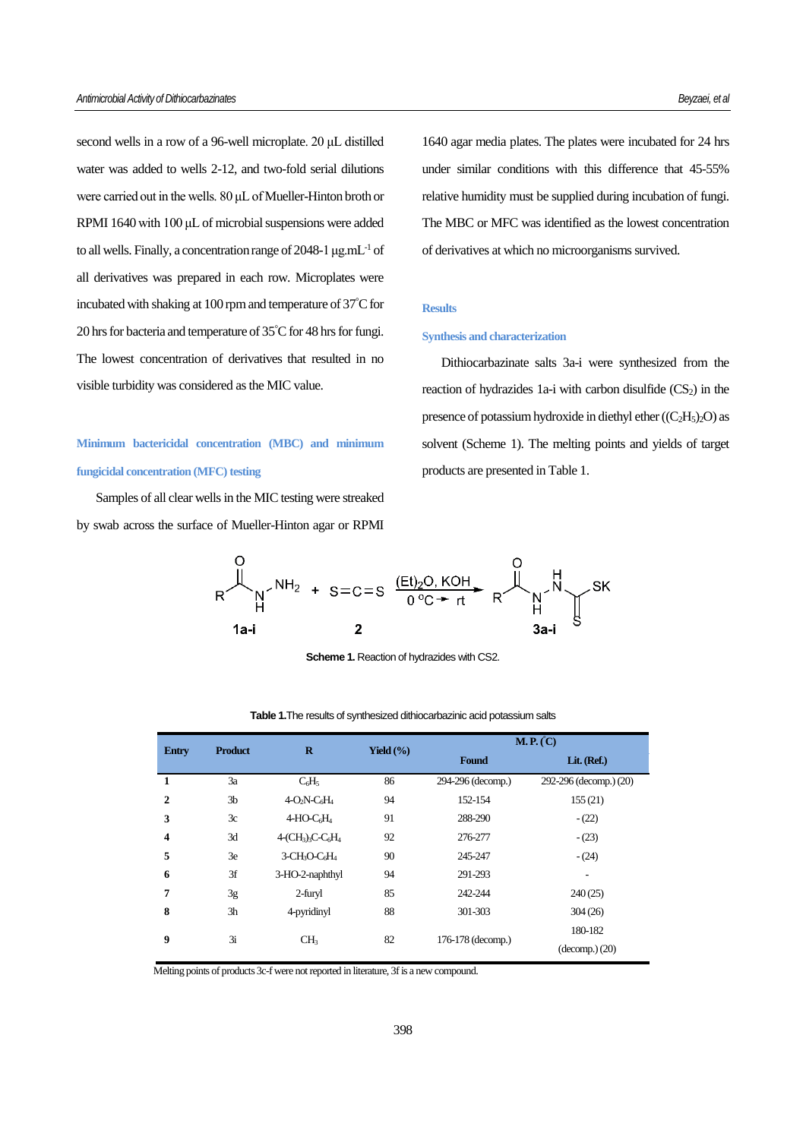second wells in a row of a 96-well microplate. 20 μL distilled water was added to wells 2-12, and two-fold serial dilutions were carried out in the wells. 80 μL of Mueller-Hinton broth or RPMI 1640 with 100 μL of microbial suspensions were added to all wells. Finally, a concentration range of 2048-1 μg.mL-1 of all derivatives was prepared in each row. Microplates were incubated with shaking at 100 rpm and temperature of 37°C for 20 hrs for bacteria and temperature of 35°C for 48 hrs for fungi. The lowest concentration of derivatives that resulted in no visible turbidity was considered as the MIC value.

# **Minimum bactericidal concentration (MBC) and minimum fungicidal concentration (MFC) testing**

Samples of all clear wells in the MIC testing were streaked by swab across the surface of Mueller-Hinton agar or RPMI 1640 agar media plates. The plates were incubated for 24 hrs under similar conditions with this difference that 45-55% relative humidity must be supplied during incubation of fungi. The MBC or MFC was identified as the lowest concentration of derivatives at which no microorganisms survived.

## **Results**

#### **Synthesis and characterization**

Dithiocarbazinate salts 3a-i were synthesized from the reaction of hydrazides 1a-i with carbon disulfide  $(CS_2)$  in the presence of potassium hydroxide in diethyl ether  $((C<sub>2</sub>H<sub>5</sub>)<sub>2</sub>O)$  as solvent (Scheme 1). The melting points and yields of target products are presented in Table 1.



**Scheme 1.** Reaction of hydrazides with CS2.

| <b>Entry</b> | <b>Product</b> | $\bf{R}$                                               | Yield $(\% )$ | M.P. (C)          |                        |  |  |  |
|--------------|----------------|--------------------------------------------------------|---------------|-------------------|------------------------|--|--|--|
|              |                |                                                        |               | <b>Found</b>      | Lit. (Ref.)            |  |  |  |
| 1            | 3a             | $C_6H_5$                                               | 86            | 294-296 (decomp.) | 292-296 (decomp.) (20) |  |  |  |
| $\mathbf{2}$ | 3 <sub>b</sub> | $4-O2N-C6H4$                                           | 94            | 152-154           | 155(21)                |  |  |  |
| 3            | 3c             | $4-HO-C6H4$                                            | 91            | 288-290           | $-(22)$                |  |  |  |
| 4            | 3d             | $4-(CH3)$ <sub>3</sub> C-C <sub>6</sub> H <sub>4</sub> | 92            | 276-277           | $-(23)$                |  |  |  |
| 5            | 3e             | 3-CH <sub>3</sub> O-C <sub>6</sub> H <sub>4</sub>      | 90            | 245-247           | $-(24)$                |  |  |  |
| 6            | 3f             | 3-HO-2-naphthyl                                        | 94            | 291-293           | ۰                      |  |  |  |
| 7            | 3g             | 2-furyl                                                | 85            | 242-244           | 240(25)                |  |  |  |
| 8            | 3h             | 4-pyridinyl                                            | 88            | 301-303           | 304(26)                |  |  |  |
| 9            |                |                                                        |               |                   | 180-182                |  |  |  |
|              | 3i             | CH <sub>3</sub>                                        | 82            | 176-178 (decomp.) | (decomp.) (20)         |  |  |  |

#### **Table 1.**The results of synthesized dithiocarbazinic acid potassium salts

Melting points of products 3c-f were not reported in literature, 3f is a new compound.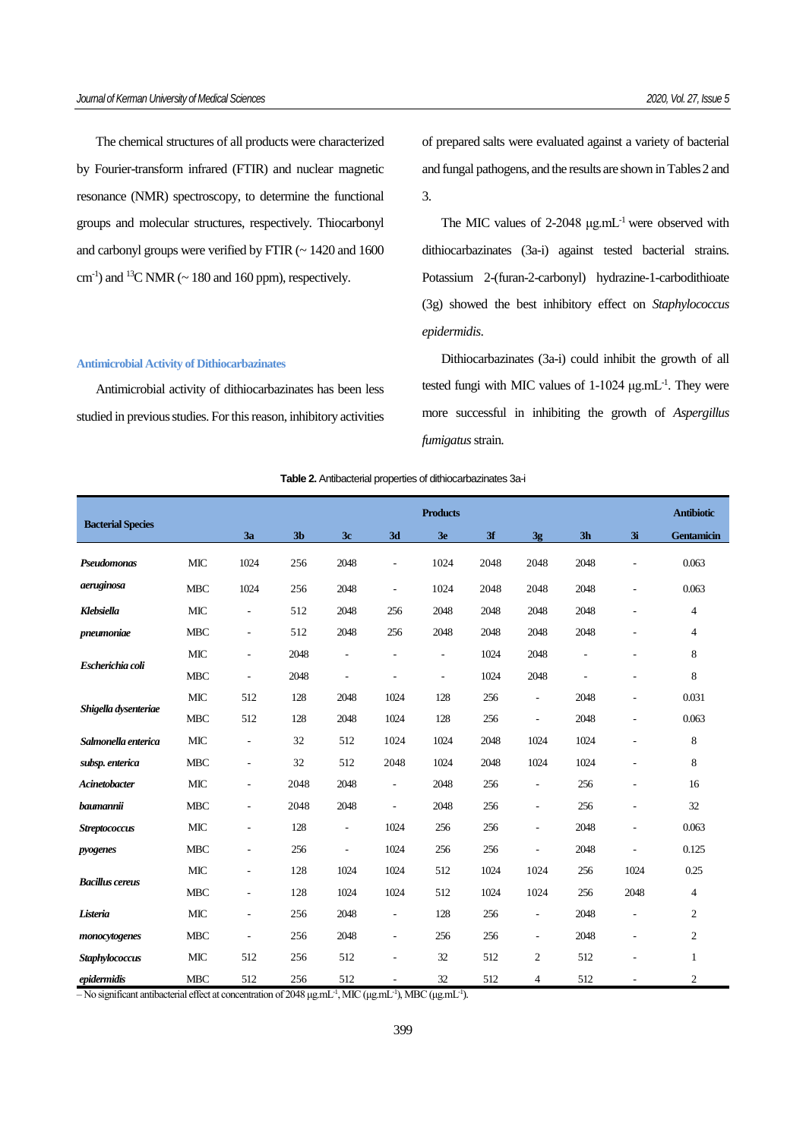The chemical structures of all products were characterized by Fourier-transform infrared (FTIR) and nuclear magnetic resonance (NMR) spectroscopy, to determine the functional groups and molecular structures, respectively. Thiocarbonyl and carbonyl groups were verified by FTIR (~ 1420 and 1600  $\text{cm}^{-1}$ ) and <sup>13</sup>C NMR ( $\sim$  180 and 160 ppm), respectively.

#### **Antimicrobial Activity of Dithiocarbazinates**

Antimicrobial activity of dithiocarbazinates has been less studied in previous studies. For this reason, inhibitory activities of prepared salts were evaluated against a variety of bacterial and fungal pathogens, and the results are shown in Tables 2 and 3.

The MIC values of  $2-2048 \mu g.mL^{-1}$  were observed with dithiocarbazinates (3a-i) against tested bacterial strains. Potassium 2-(furan-2-carbonyl) hydrazine-1-carbodithioate (3g) showed the best inhibitory effect on *Staphylococcus epidermidis*.

Dithiocarbazinates (3a-i) could inhibit the growth of all tested fungi with MIC values of 1-1024 μg.mL<sup>-1</sup>. They were more successful in inhibiting the growth of *Aspergillus fumigatus* strain.

#### **Table 2.** Antibacterial properties of dithiocarbazinates 3a-i

|                          |            | <b>Products</b>          |                |                          |                          |                          |      |                          |                |      | <b>Antibiotic</b> |
|--------------------------|------------|--------------------------|----------------|--------------------------|--------------------------|--------------------------|------|--------------------------|----------------|------|-------------------|
| <b>Bacterial Species</b> |            | 3a                       | 3 <sub>b</sub> | 3c                       | 3d                       | 3 <sub>e</sub>           | 3f   | 3g                       | 3 <sub>h</sub> | 3i   | <b>Gentamicin</b> |
| Pseudomonas              | <b>MIC</b> | 1024                     | 256            | 2048                     | $\overline{\phantom{a}}$ | 1024                     | 2048 | 2048                     | 2048           |      | 0.063             |
| aeruginosa               | <b>MBC</b> | 1024                     | 256            | 2048                     | $\overline{\phantom{a}}$ | 1024                     | 2048 | 2048                     | 2048           | ٠    | 0.063             |
| Klebsiella               | MIC        | $\overline{\phantom{a}}$ | 512            | 2048                     | 256                      | 2048                     | 2048 | 2048                     | 2048           |      | 4                 |
| pneumoniae               | <b>MBC</b> | $\overline{\phantom{a}}$ | 512            | 2048                     | 256                      | 2048                     | 2048 | 2048                     | 2048           |      | 4                 |
|                          | <b>MIC</b> | $\overline{\phantom{a}}$ | 2048           | ÷,                       | $\overline{\phantom{a}}$ | ÷                        | 1024 | 2048                     | L,             |      | 8                 |
| Escherichia coli         | <b>MBC</b> | $\overline{\phantom{a}}$ | 2048           | $\overline{\phantom{a}}$ | ÷                        | $\overline{\phantom{a}}$ | 1024 | 2048                     | J.             |      | 8                 |
|                          | <b>MIC</b> | 512                      | 128            | 2048                     | 1024                     | 128                      | 256  | $\overline{\phantom{a}}$ | 2048           |      | 0.031             |
| Shigella dysenteriae     | <b>MBC</b> | 512                      | 128            | 2048                     | 1024                     | 128                      | 256  | $\overline{\phantom{a}}$ | 2048           |      | 0.063             |
| Salmonella enterica      | <b>MIC</b> | $\overline{\phantom{a}}$ | 32             | 512                      | 1024                     | 1024                     | 2048 | 1024                     | 1024           |      | 8                 |
| subsp. enterica          | <b>MBC</b> | $\overline{\phantom{a}}$ | 32             | 512                      | 2048                     | 1024                     | 2048 | 1024                     | 1024           |      | 8                 |
| Acinetobacter            | <b>MIC</b> | $\overline{a}$           | 2048           | 2048                     | $\overline{\phantom{a}}$ | 2048                     | 256  | $\overline{\phantom{a}}$ | 256            |      | 16                |
| baumannii                | <b>MBC</b> | $\overline{\phantom{a}}$ | 2048           | 2048                     | $\overline{\phantom{a}}$ | 2048                     | 256  | $\overline{\phantom{a}}$ | 256            |      | 32                |
| <b>Streptococcus</b>     | <b>MIC</b> | $\overline{\phantom{a}}$ | 128            | $\overline{\phantom{a}}$ | 1024                     | 256                      | 256  | $\overline{\phantom{a}}$ | 2048           |      | 0.063             |
| pyogenes                 | <b>MBC</b> | $\overline{a}$           | 256            | $\overline{\phantom{a}}$ | 1024                     | 256                      | 256  | $\overline{a}$           | 2048           |      | 0.125             |
|                          | <b>MIC</b> | $\overline{a}$           | 128            | 1024                     | 1024                     | 512                      | 1024 | 1024                     | 256            | 1024 | 0.25              |
| <b>Bacillus cereus</b>   | <b>MBC</b> | $\overline{\phantom{a}}$ | 128            | 1024                     | 1024                     | 512                      | 1024 | 1024                     | 256            | 2048 | $\overline{4}$    |
| Listeria                 | <b>MIC</b> | $\overline{\phantom{a}}$ | 256            | 2048                     | $\overline{\phantom{a}}$ | 128                      | 256  | $\overline{\phantom{a}}$ | 2048           | ÷,   | $\overline{c}$    |
| monocytogenes            | <b>MBC</b> | $\overline{\phantom{a}}$ | 256            | 2048                     | $\overline{\phantom{a}}$ | 256                      | 256  | $\overline{\phantom{a}}$ | 2048           |      | $\overline{c}$    |
| Staphylococcus           | <b>MIC</b> | 512                      | 256            | 512                      | ÷,                       | 32                       | 512  | $\mathfrak{2}$           | 512            |      | $\mathbf{1}$      |
| epidermidis              | <b>MBC</b> | 512                      | 256            | 512                      | $\overline{\phantom{a}}$ | 32                       | 512  | 4                        | 512            | ٠    | $\overline{c}$    |

 $-$  No significant antibacterial effect at concentration of 2048 μg.mL<sup>-1</sup>, MIC (μg.mL<sup>-1</sup>), MBC (μg.mL<sup>-1</sup>).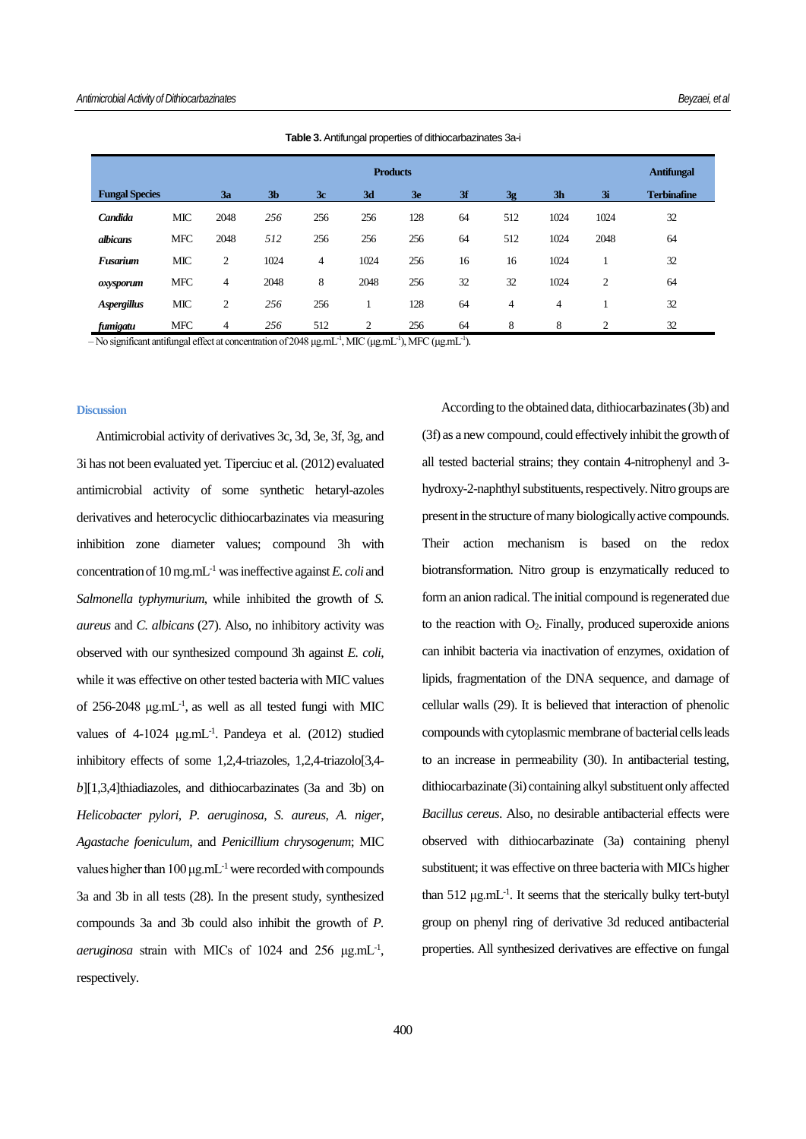|                       | <b>Products</b> |      |                |                |      |     |    |     |                |                |                    |
|-----------------------|-----------------|------|----------------|----------------|------|-----|----|-----|----------------|----------------|--------------------|
| <b>Fungal Species</b> |                 | 3a   | 3 <sub>b</sub> | 3c             | 3d   | 3e  | 3f | 3g  | 3 <sub>h</sub> | 3i             | <b>Terbinafine</b> |
| Candida               | <b>MIC</b>      | 2048 | 256            | 256            | 256  | 128 | 64 | 512 | 1024           | 1024           | 32                 |
| albicans              | <b>MFC</b>      | 2048 | 512            | 256            | 256  | 256 | 64 | 512 | 1024           | 2048           | 64                 |
| <b>Fusarium</b>       | <b>MIC</b>      | 2    | 1024           | $\overline{4}$ | 1024 | 256 | 16 | 16  | 1024           |                | 32                 |
| oxysporum             | <b>MFC</b>      | 4    | 2048           | 8              | 2048 | 256 | 32 | 32  | 1024           | 2              | 64                 |
| <b>Aspergillus</b>    | <b>MIC</b>      | 2    | 256            | 256            |      | 128 | 64 | 4   | 4              |                | 32                 |
| fumigatu              | <b>MFC</b>      | 4    | 256            | 512            | 2    | 256 | 64 | 8   | 8              | $\overline{2}$ | 32                 |

**Table 3.** Antifungal properties of dithiocarbazinates 3a-i

 $-$  No significant antifungal effect at concentration of 2048 μg.mL<sup>-1</sup>, MIC (μg.mL<sup>-1</sup>), MFC (μg.mL<sup>-1</sup>).

#### **Discussion**

Antimicrobial activity of derivatives 3c, 3d, 3e, 3f, 3g, and 3i has not been evaluated yet. Tiperciuc et al. (2012) evaluated antimicrobial activity of some synthetic hetaryl-azoles derivatives and heterocyclic dithiocarbazinates via measuring inhibition zone diameter values; compound 3h with concentration of 10 mg.mL-1 was ineffective against *E. coli* and *Salmonella typhymurium*, while inhibited the growth of *S. aureus* and *C. albicans* (27). Also, no inhibitory activity was observed with our synthesized compound 3h against *E. coli*, while it was effective on other tested bacteria with MIC values of 256-2048  $\mu$ g.mL<sup>-1</sup>, as well as all tested fungi with MIC values of 4-1024 μg.mL-1 . Pandeya et al. (2012) studied inhibitory effects of some 1,2,4-triazoles, 1,2,4-triazolo[3,4 *b*][1,3,4]thiadiazoles, and dithiocarbazinates (3a and 3b) on *Helicobacter pylori*, *P. aeruginosa*, *S. aureus*, *A. niger*, *Agastache foeniculum*, and *Penicillium chrysogenum*; MIC values higher than  $100 \mu g.mL^{-1}$  were recorded with compounds 3a and 3b in all tests (28). In the present study, synthesized compounds 3a and 3b could also inhibit the growth of *P. aeruginosa* strain with MICs of 1024 and 256 μg.mL-1 , respectively.

According to the obtained data, dithiocarbazinates (3b) and (3f) as a new compound, could effectively inhibit the growth of all tested bacterial strains; they contain 4-nitrophenyl and 3 hydroxy-2-naphthyl substituents, respectively. Nitro groups are present in the structure of many biologically active compounds. Their action mechanism is based on the redox biotransformation. Nitro group is enzymatically reduced to form an anion radical. The initial compound is regenerated due to the reaction with  $O_2$ . Finally, produced superoxide anions can inhibit bacteria via inactivation of enzymes, oxidation of lipids, fragmentation of the DNA sequence, and damage of cellular walls (29). It is believed that interaction of phenolic compounds with cytoplasmic membrane of bacterial cells leads to an increase in permeability (30). In antibacterial testing, dithiocarbazinate (3i) containing alkyl substituent only affected *Bacillus cereus*. Also, no desirable antibacterial effects were observed with dithiocarbazinate (3a) containing phenyl substituent; it was effective on three bacteria with MICs higher than 512 μg.mL-1 . It seems that the sterically bulky tert-butyl group on phenyl ring of derivative 3d reduced antibacterial properties. All synthesized derivatives are effective on fungal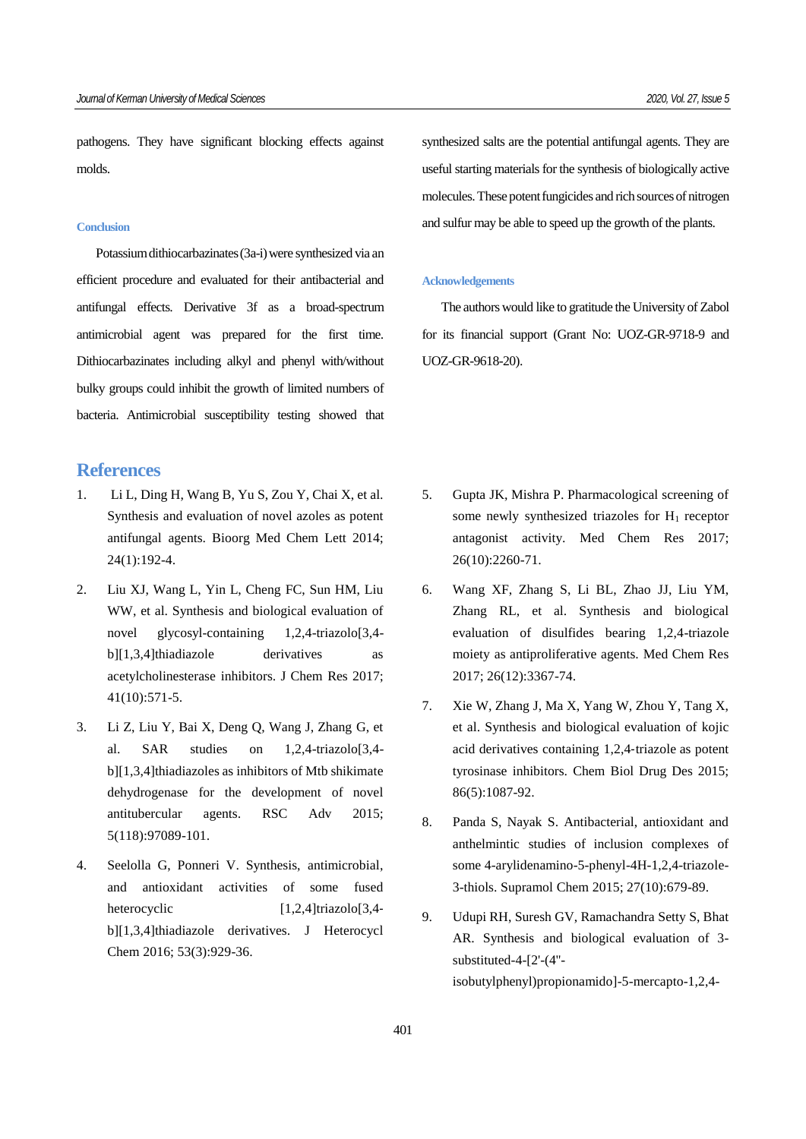pathogens. They have significant blocking effects against molds.

## **Conclusion**

Potassium dithiocarbazinates (3a-i) were synthesized via an efficient procedure and evaluated for their antibacterial and antifungal effects. Derivative 3f as a broad-spectrum antimicrobial agent was prepared for the first time. Dithiocarbazinates including alkyl and phenyl with/without bulky groups could inhibit the growth of limited numbers of bacteria. Antimicrobial susceptibility testing showed that

## **References**

- 1. Li L, Ding H, Wang B, Yu S, Zou Y, Chai X, et al. Synthesis and evaluation of novel azoles as potent antifungal agents. Bioorg Med Chem Lett 2014; 24(1):192-4.
- 2. Liu XJ, Wang L, Yin L, Cheng FC, Sun HM, Liu WW, et al. Synthesis and biological evaluation of novel glycosyl-containing 1,2,4-triazolo[3,4 b][1,3,4]thiadiazole derivatives as acetylcholinesterase inhibitors. J Chem Res 2017; 41(10):571-5.
- 3. Li Z, Liu Y, Bai X, Deng Q, Wang J, Zhang G, et al. SAR studies on 1,2,4-triazolo[3,4 b][1,3,4]thiadiazoles as inhibitors of Mtb shikimate dehydrogenase for the development of novel antitubercular agents. RSC Adv 2015; 5(118):97089-101.
- 4. Seelolla G, Ponneri V. Synthesis, antimicrobial, and antioxidant activities of some fused heterocyclic  $[1,2,4]$ triazolo $[3,4$ b][1,3,4]thiadiazole derivatives. J Heterocycl Chem 2016; 53(3):929-36.

synthesized salts are the potential antifungal agents. They are useful starting materials for the synthesis of biologically active molecules. These potent fungicides and rich sources of nitrogen and sulfur may be able to speed up the growth of the plants.

## **Acknowledgements**

The authors would like to gratitude the University of Zabol for its financial support (Grant No: UOZ-GR-9718-9 and UOZ-GR-9618-20).

- 5. Gupta JK, Mishra P. Pharmacological screening of some newly synthesized triazoles for  $H_1$  receptor antagonist activity. Med Chem Res 2017; 26(10):2260-71.
- 6. Wang XF, Zhang S, Li BL, Zhao JJ, Liu YM, Zhang RL, et al. Synthesis and biological evaluation of disulfides bearing 1,2,4-triazole moiety as antiproliferative agents. Med Chem Res 2017; 26(12):3367-74.
- 7. Xie W, Zhang J, Ma X, Yang W, Zhou Y, Tang X, et al. Synthesis and biological evaluation of kojic acid derivatives containing 1,2,4‐triazole as potent tyrosinase inhibitors. Chem Biol Drug Des 2015; 86(5):1087-92.
- 8. Panda S, Nayak S. Antibacterial, antioxidant and anthelmintic studies of inclusion complexes of some 4-arylidenamino-5-phenyl-4H-1,2,4-triazole-3-thiols. Supramol Chem 2015; 27(10):679-89.
- 9. Udupi RH, Suresh GV, Ramachandra Setty S, Bhat AR. Synthesis and biological evaluation of 3 substituted-4-[2'-(4'' isobutylphenyl)propionamido]-5-mercapto-1,2,4-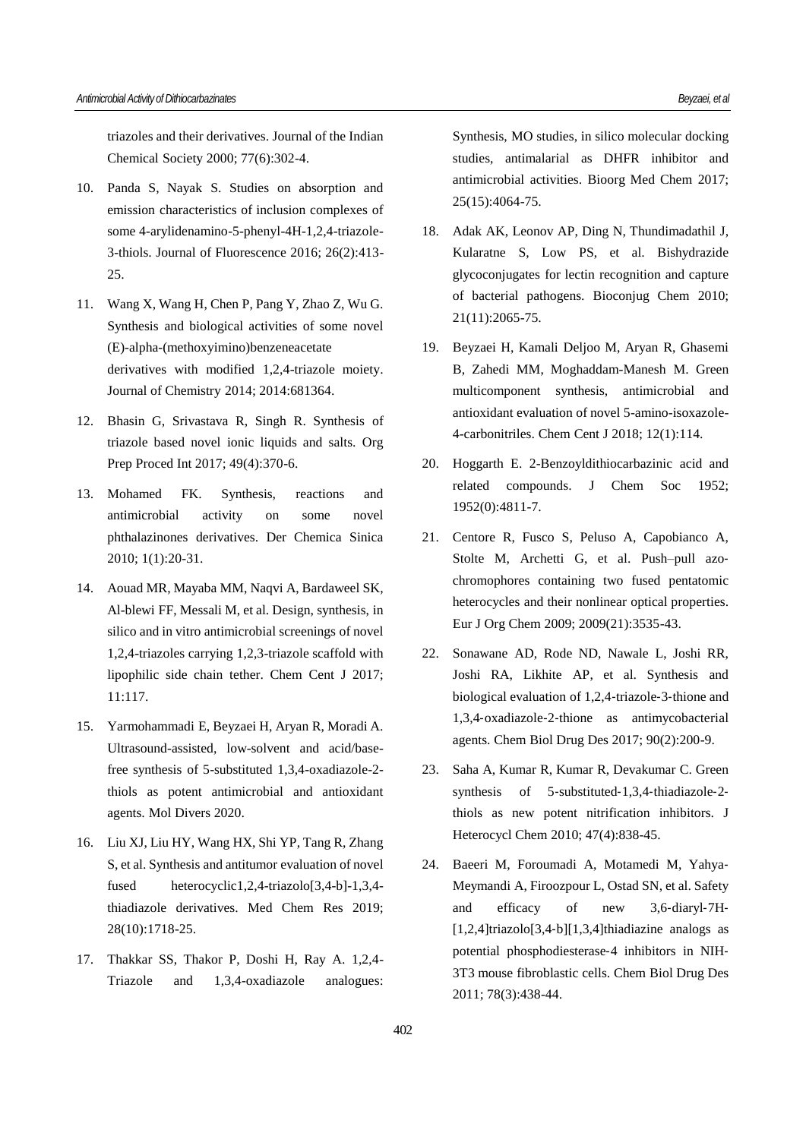triazoles and their derivatives. Journal of the Indian Chemical Society 2000; 77(6):302-4.

- 10. Panda S, Nayak S. Studies on absorption and emission characteristics of inclusion complexes of some 4-arylidenamino-5-phenyl-4H-1,2,4-triazole-3-thiols. Journal of Fluorescence 2016; 26(2):413- 25.
- 11. Wang X, Wang H, Chen P, Pang Y, Zhao Z, Wu G. Synthesis and biological activities of some novel (E)-alpha-(methoxyimino)benzeneacetate derivatives with modified 1,2,4-triazole moiety. Journal of Chemistry 2014; 2014:681364.
- 12. Bhasin G, Srivastava R, Singh R. Synthesis of triazole based novel ionic liquids and salts. Org Prep Proced Int 2017; 49(4):370-6.
- 13. Mohamed FK. Synthesis, reactions and antimicrobial activity on some novel phthalazinones derivatives. Der Chemica Sinica 2010; 1(1):20-31.
- 14. Aouad MR, Mayaba MM, Naqvi A, Bardaweel SK, Al-blewi FF, Messali M, et al. Design, synthesis, in silico and in vitro antimicrobial screenings of novel 1,2,4-triazoles carrying 1,2,3-triazole scaffold with lipophilic side chain tether. Chem Cent J 2017; 11:117.
- 15. Yarmohammadi E, Beyzaei H, Aryan R, Moradi A. Ultrasound-assisted, low-solvent and acid/basefree synthesis of 5-substituted 1,3,4-oxadiazole-2 thiols as potent antimicrobial and antioxidant agents. Mol Divers 2020.
- 16. Liu XJ, Liu HY, Wang HX, Shi YP, Tang R, Zhang S, et al. Synthesis and antitumor evaluation of novel fused heterocyclic1,2,4-triazolo[3,4-b]-1,3,4 thiadiazole derivatives. Med Chem Res 2019; 28(10):1718-25.
- 17. Thakkar SS, Thakor P, Doshi H, Ray A. 1,2,4- Triazole and 1,3,4-oxadiazole analogues:

Synthesis, MO studies, in silico molecular docking studies, antimalarial as DHFR inhibitor and antimicrobial activities. Bioorg Med Chem 2017; 25(15):4064-75.

- 18. Adak AK, Leonov AP, Ding N, Thundimadathil J, Kularatne S, Low PS, et al. Bishydrazide glycoconjugates for lectin recognition and capture of bacterial pathogens. Bioconjug Chem 2010; 21(11):2065-75.
- 19. Beyzaei H, Kamali Deljoo M, Aryan R, Ghasemi B, Zahedi MM, Moghaddam-Manesh M. Green multicomponent synthesis, antimicrobial and antioxidant evaluation of novel 5-amino-isoxazole-4-carbonitriles. Chem Cent J 2018; 12(1):114.
- 20. Hoggarth E. 2-Benzoyldithiocarbazinic acid and related compounds. J Chem Soc 1952; 1952(0):4811-7.
- 21. Centore R, Fusco S, Peluso A, Capobianco A, Stolte M, Archetti G, et al. Push–pull azo‐ chromophores containing two fused pentatomic heterocycles and their nonlinear optical properties. Eur J Org Chem 2009; 2009(21):3535-43.
- 22. Sonawane AD, Rode ND, Nawale L, Joshi RR, Joshi RA, Likhite AP, et al. Synthesis and biological evaluation of 1,2,4‐triazole‐3‐thione and 1,3,4‐oxadiazole‐2‐thione as antimycobacterial agents. Chem Biol Drug Des 2017; 90(2):200-9.
- 23. Saha A, Kumar R, Kumar R, Devakumar C. Green synthesis of 5-substituted-1,3,4-thiadiazole-2thiols as new potent nitrification inhibitors. J Heterocycl Chem 2010; 47(4):838-45.
- 24. Baeeri M, Foroumadi A, Motamedi M, Yahya‐ Meymandi A, Firoozpour L, Ostad SN, et al. Safety and efficacy of new 3,6‐diaryl‐7H‐ [1,2,4]triazolo[3,4‐b][1,3,4]thiadiazine analogs as potential phosphodiesterase‐4 inhibitors in NIH‐ 3T3 mouse fibroblastic cells. Chem Biol Drug Des 2011; 78(3):438-44.